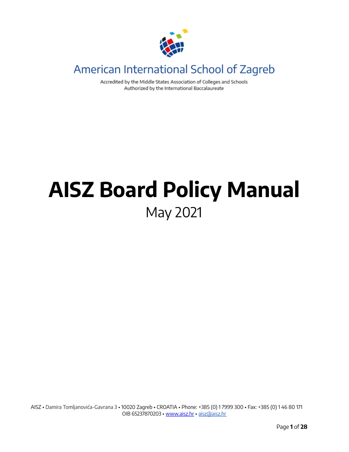

# American International School of Zagreb

Accredited by the Middle States Association of Colleges and Schools Authorized by the International Baccalaureate

# **AISZ Board Policy Manual** May 2021

AISZ • Damira Tomljanovića-Gavrana 3 • 10020 Zagreb • CROATIA • Phone: +385 (0) 1 7999 300 • Fax: +385 (0) 1 46 80 171 OIB 65237870203 • [www.aisz.hr](http://www.aisz.hr/) • [aisz@aisz.hr](mailto:aisz@aisz.hr)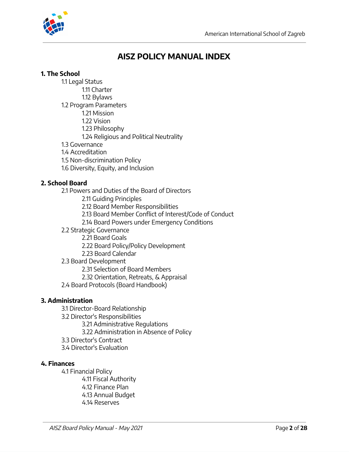

# **AISZ POLICY MANUAL INDEX**

## **1. The School**

- 1.1 Legal Status 1.11 Charter 1.12 Bylaws 1.2 Program Parameters
	- 1.21 Mission
	- 1.22 Vision
	- 1.23 Philosophy
	- 1.24 Religious and Political Neutrality
- 1.3 Governance
- 1.4 Accreditation
- 1.5 Non-discrimination Policy
- 1.6 Diversity, Equity, and Inclusion

# **2. School Board**

- 2.1 Powers and Duties of the Board of Directors
	- 2.11 Guiding Principles
	- 2.12 Board Member Responsibilities
	- 2.13 Board Member Conflict of Interest/Code of Conduct
	- 2.14 Board Powers under Emergency Conditions
- 2.2 Strategic Governance
	- 2.21 Board Goals
	- 2.22 Board Policy/Policy Development
	- 2.23 Board Calendar
- 2.3 Board Development
	- 2.31 Selection of Board Members
	- 2.32 Orientation, Retreats, & Appraisal
- 2.4 Board Protocols (Board Handbook)

# **3. Administration**

- 3.1 Director-Board Relationship
- 3.2 Director's Responsibilities
	- 3.21 Administrative Regulations
	- 3.22 Administration in Absence of Policy
- 3.3 Director's Contract
- 3.4 Director's Evaluation

# **4. Finances**

4.1 Financial Policy 4.11 Fiscal Authority 4.12 Finance Plan 4.13 Annual Budget 4.14 Reserves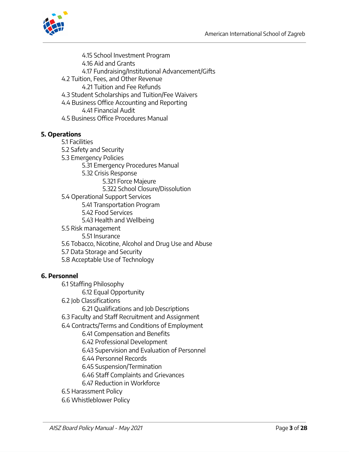

4.15 School Investment Program 4.16 Aid and Grants 4.17 Fundraising/Institutional Advancement/Gifts 4.2 Tuition, Fees, and Other Revenue 4.21 Tuition and Fee Refunds 4.3 Student Scholarships and Tuition/Fee Waivers 4.4 Business Office Accounting and Reporting 4.41 Financial Audit 4.5 Business Office Procedures Manual

#### **5. Operations**

5.1 Facilities 5.2 Safety and Security 5.3 Emergency Policies 5.31 Emergency Procedures Manual 5.32 Crisis Response 5.321 Force Majeure 5.322 School Closure/Dissolution 5.4 Operational Support Services 5.41 Transportation Program 5.42 Food Services 5.43 Health and Wellbeing 5.5 Risk management 5.51 Insurance 5.6 Tobacco, Nicotine, Alcohol and Drug Use and Abuse 5.7 Data Storage and Security 5.8 Acceptable Use of Technology

#### **6. Personnel**

6.1 Staffing Philosophy

6.12 Equal Opportunity

- 6.2 Job Classifications
	- 6.21 Qualifications and Job Descriptions
- 6.3 Faculty and Staff Recruitment and Assignment
- 6.4 Contracts/Terms and Conditions of Employment
	- 6.41 Compensation and Benefits
	- 6.42 Professional Development
	- 6.43 Supervision and Evaluation of Personnel
	- 6.44 Personnel Records
	- 6.45 Suspension/Termination
	- 6.46 Staff Complaints and Grievances
	- 6.47 Reduction in Workforce
- 6.5 Harassment Policy
- 6.6 Whistleblower Policy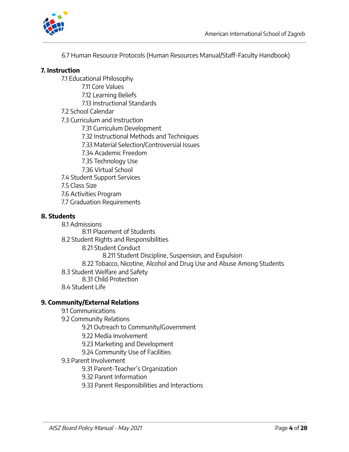

6.7 Human Resource Protocols (Human Resources Manual/Staff-Faculty Handbook)

#### **7. Instruction**

7.1 Educational Philosophy 7.11 Core Values 7.12 Learning Beliefs

7.13 Instructional Standards

#### 7.2 School Calendar

7.3 Curriculum and Instruction

7.31 Curriculum Development

7.32 Instructional Methods and Techniques

7.33 Material Selection/Controversial Issues

7.34 Academic Freedom

7.35 Technology Use

7.36 Virtual School

7.4 Student Support Services

7.5 Class Size

7.6 Activities Program

7.7 Graduation Requirements

#### **8. Students**

8.1 Admissions 8.11 Placement of Students 8.2 Student Rights and Responsibilities 8.21 Student Conduct 8.211 Student Discipline, Suspension, and Expulsion 8.22 Tobacco, Nicotine, Alcohol and Drug Use and Abuse Among Students 8.3 Student Welfare and Safety 8.31 Child Protection 8.4 Student Life

#### **9. Community/External Relations**

#### 9.1 Communications

9.2 Community Relations

9.21 Outreach to Community/Government

9.22 Media Involvement

9.23 Marketing and Development

- 9.24 Community Use of Facilities
- 9.3 Parent Involvement

9.31 Parent-Teacher's Organization

9.32 Parent Information

9.33 Parent Responsibilities and Interactions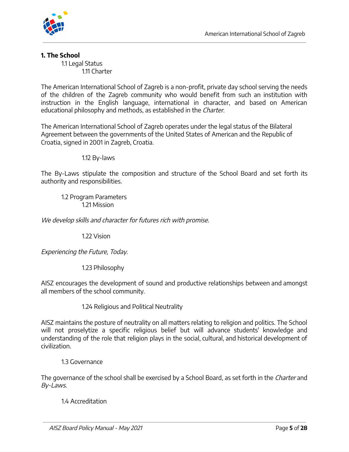

# **1. The School**

1.1 Legal Status 1.11 Charter

The American International School of Zagreb is a non-profit, private day school serving the needs of the children of the Zagreb community who would benefit from such an institution with instruction in the English language, international in character, and based on American educational philosophy and methods, as established in the Charter.

The American International School of Zagreb operates under the legal status of the Bilateral Agreement between the governments of the United States of American and the Republic of Croatia, signed in 2001 in Zagreb, Croatia.

1.12 By-laws

The By-Laws stipulate the composition and structure of the School Board and set forth its authority and responsibilities.

1.2 Program Parameters 1.21 Mission

We develop skills and character for futures rich with promise.

1.22 Vision

Experiencing the Future, Today.

1.23 Philosophy

AISZ encourages the development of sound and productive relationships between and amongst all members of the school community.

1.24 Religious and Political Neutrality

AISZ maintains the posture of neutrality on all matters relating to religion and politics. The School will not proselytize a specific religious belief but will advance students' knowledge and understanding of the role that religion plays in the social, cultural, and historical development of civilization.

1.3 Governance

The governance of the school shall be exercised by a School Board, as set forth in the Charter and By-Laws.

1.4 Accreditation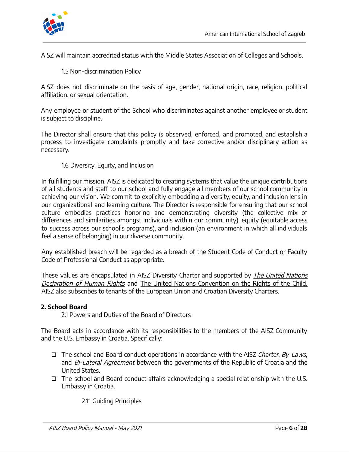

AISZ will maintain accredited status with the Middle States Association of Colleges and Schools.

1.5 Non-discrimination Policy

AISZ does not discriminate on the basis of age, gender, national origin, race, religion, political affiliation, or sexual orientation.

Any employee or student of the School who discriminates against another employee or student is subject to discipline.

The Director shall ensure that this policy is observed, enforced, and promoted, and establish a process to investigate complaints promptly and take corrective and/or disciplinary action as necessary.

#### 1.6 Diversity, Equity, and Inclusion

In fulfilling our mission, AISZ is dedicated to creating systems that value the unique contributions of all students and staff to our school and fully engage all members of our school community in achieving our vision. We commit to explicitly embedding a diversity, equity, and inclusion lens in our organizational and learning culture. The Director is responsible for ensuring that our school culture embodies practices honoring and demonstrating diversity (the collective mix of differences and similarities amongst individuals within our community), equity (equitable access to success across our school's programs), and inclusion (an environment in which all individuals feel a sense of belonging) in our diverse community.

Any established breach will be regarded as a breach of the Student Code of Conduct or Faculty Code of Professional Conduct as appropriate.

These values are encapsulated in AISZ Diversity Charter and supported by *The United Nations* Declaration of Human Rights and The United Nations Convention on the Rights of the Child. AISZ also subscribes to tenants of the European Union and Croatian Diversity Charters.

#### **2. School Board**

2.1 Powers and Duties of the Board of Directors

The Board acts in accordance with its responsibilities to the members of the AISZ Community and the U.S. Embassy in Croatia. Specifically:

- ❏ The school and Board conduct operations in accordance with the AISZ Charter, By-Laws, and Bi-Lateral Agreement between the governments of the Republic of Croatia and the United States.
- ❏ The school and Board conduct affairs acknowledging a special relationship with the U.S. Embassy in Croatia.

2.11 Guiding Principles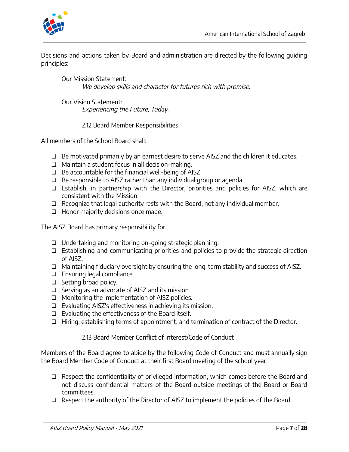

Decisions and actions taken by Board and administration are directed by the following guiding principles:

Our Mission Statement: We develop skills and character for futures rich with promise.

Our Vision Statement: Experiencing the Future, Today.

2.12 Board Member Responsibilities

All members of the School Board shall:

- ❏ Be motivated primarily by an earnest desire to serve AISZ and the children it educates.
- ❏ Maintain a student focus in all decision-making.
- ❏ Be accountable for the financial well-being of AISZ.
- ❏ Be responsible to AISZ rather than any individual group or agenda.
- ❏ Establish, in partnership with the Director, priorities and policies for AISZ, which are consistent with the Mission.
- ❏ Recognize that legal authority rests with the Board, not any individual member.
- ❏ Honor majority decisions once made.

The AISZ Board has primary responsibility for:

- ❏ Undertaking and monitoring on-going strategic planning.
- ❏ Establishing and communicating priorities and policies to provide the strategic direction of AISZ.
- ❏ Maintaining fiduciary oversight by ensuring the long-term stability and success of AISZ.
- ❏ Ensuring legal compliance.
- ❏ Setting broad policy.
- ❏ Serving as an advocate of AISZ and its mission.
- ❏ Monitoring the implementation of AISZ policies.
- ❏ Evaluating AISZ's effectiveness in achieving its mission.
- ❏ Evaluating the effectiveness of the Board itself.
- ❏ Hiring, establishing terms of appointment, and termination of contract of the Director.

2.13 Board Member Conflict of Interest/Code of Conduct

Members of the Board agree to abide by the following Code of Conduct and must annually sign the Board Member Code of Conduct at their first Board meeting of the school year:

- ❏ Respect the confidentiality of privileged information, which comes before the Board and not discuss confidential matters of the Board outside meetings of the Board or Board committees.
- ❏ Respect the authority of the Director of AISZ to implement the policies of the Board.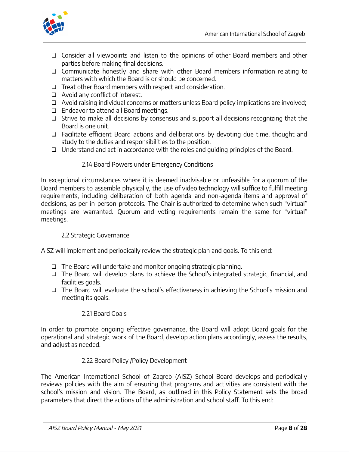

- ❏ Consider all viewpoints and listen to the opinions of other Board members and other parties before making final decisions.
- ❏ Communicate honestly and share with other Board members information relating to matters with which the Board is or should be concerned.
- ❏ Treat other Board members with respect and consideration.
- ❏ Avoid any conflict of interest.
- ❏ Avoid raising individual concerns or matters unless Board policy implications are involved;
- ❏ Endeavor to attend all Board meetings.
- ❏ Strive to make all decisions by consensus and support all decisions recognizing that the Board is one unit.
- ❏ Facilitate efficient Board actions and deliberations by devoting due time, thought and study to the duties and responsibilities to the position.
- ❏ Understand and act in accordance with the roles and guiding principles of the Board.

# 2.14 Board Powers under Emergency Conditions

In exceptional circumstances where it is deemed inadvisable or unfeasible for a quorum of the Board members to assemble physically, the use of video technology will suffice to fulfill meeting requirements, including deliberation of both agenda and non-agenda items and approval of decisions, as per in-person protocols. The Chair is authorized to determine when such "virtual" meetings are warranted. Quorum and voting requirements remain the same for "virtual" meetings.

# 2.2 Strategic Governance

AISZ will implement and periodically review the strategic plan and goals. To this end:

- ❏ The Board will undertake and monitor ongoing strategic planning.
- ❏ The Board will develop plans to achieve the School's integrated strategic, financial, and facilities goals.
- ❏ The Board will evaluate the school's effectiveness in achieving the School's mission and meeting its goals.

# 2.21 Board Goals

In order to promote ongoing effective governance, the Board will adopt Board goals for the operational and strategic work of the Board, develop action plans accordingly, assess the results, and adjust as needed.

# 2.22 Board Policy /Policy Development

The American International School of Zagreb (AISZ) School Board develops and periodically reviews policies with the aim of ensuring that programs and activities are consistent with the school's mission and vision. The Board, as outlined in this Policy Statement sets the broad parameters that direct the actions of the administration and school staff. To this end: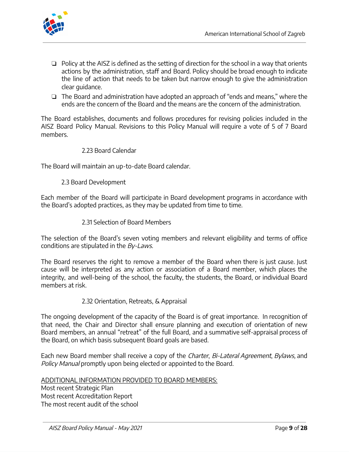

- ❏ Policy at the AISZ is defined as the setting of direction for the school in a way that orients actions by the administration, staff and Board. Policy should be broad enough to indicate the line of action that needs to be taken but narrow enough to give the administration clear guidance.
- ❏ The Board and administration have adopted an approach of "ends and means, " where the ends are the concern of the Board and the means are the concern of the administration.

The Board establishes, documents and follows procedures for revising policies included in the AISZ Board Policy Manual. Revisions to this Policy Manual will require a vote of 5 of 7 Board members.

#### 2.23 Board Calendar

The Board will maintain an up-to-date Board calendar.

2.3 Board Development

Each member of the Board will participate in Board development programs in accordance with the Board's adopted practices, as they may be updated from time to time.

#### 2.31 Selection of Board Members

The selection of the Board's seven voting members and relevant eligibility and terms of office conditions are stipulated in the By-Laws.

The Board reserves the right to remove a member of the Board when there is just cause. Just cause will be interpreted as any action or association of a Board member, which places the integrity, and well-being of the school, the faculty, the students, the Board, or individual Board members at risk.

#### 2.32 Orientation, Retreats, & Appraisal

The ongoing development of the capacity of the Board is of great importance. In recognition of that need, the Chair and Director shall ensure planning and execution of orientation of new Board members, an annual "retreat" of the full Board, and a summative self-appraisal process of the Board, on which basis subsequent Board goals are based.

Each new Board member shall receive a copy of the *Charter, Bi-Lateral Agreement, Bylaws*, and Policy Manual promptly upon being elected or appointed to the Board.

#### ADDITIONAL INFORMATION PROVIDED TO BOARD MEMBERS:

Most recent Strategic Plan Most recent Accreditation Report The most recent audit of the school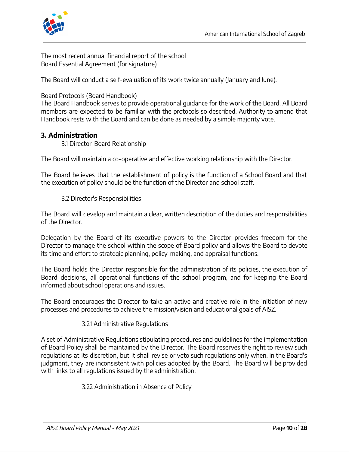



The most recent annual financial report of the school Board Essential Agreement (for signature)

The Board will conduct a self-evaluation of its work twice annually (January and June).

Board Protocols (Board Handbook)

The Board Handbook serves to provide operational guidance for the work of the Board. All Board members are expected to be familiar with the protocols so described. Authority to amend that Handbook rests with the Board and can be done as needed by a simple majority vote.

# **3. Administration**

3.1 Director-Board Relationship

The Board will maintain a co-operative and effective working relationship with the Director.

The Board believes that the establishment of policy is the function of a School Board and that the execution of policy should be the function of the Director and school staff.

#### 3.2 Director's Responsibilities

The Board will develop and maintain a clear, written description of the duties and responsibilities of the Director.

Delegation by the Board of its executive powers to the Director provides freedom for the Director to manage the school within the scope of Board policy and allows the Board to devote its time and effort to strategic planning, policy-making, and appraisal functions.

The Board holds the Director responsible for the administration of its policies, the execution of Board decisions, all operational functions of the school program, and for keeping the Board informed about school operations and issues.

The Board encourages the Director to take an active and creative role in the initiation of new processes and procedures to achieve the mission/vision and educational goals of AISZ.

#### 3.21 Administrative Regulations

A set of Administrative Regulations stipulating procedures and guidelines for the implementation of Board Policy shall be maintained by the Director. The Board reserves the right to review such regulations at its discretion, but it shall revise or veto such regulations only when, in the Board's judgment, they are inconsistent with policies adopted by the Board. The Board will be provided with links to all regulations issued by the administration.

3.22 Administration in Absence of Policy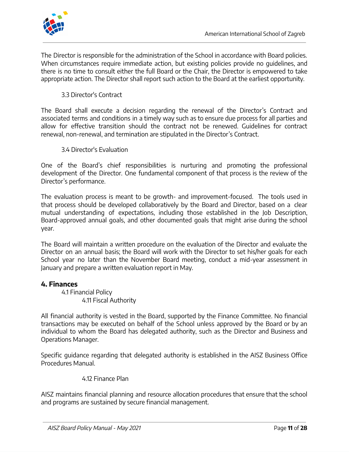

The Director is responsible for the administration of the School in accordance with Board policies. When circumstances require immediate action, but existing policies provide no guidelines, and there is no time to consult either the full Board or the Chair, the Director is empowered to take appropriate action. The Director shall report such action to the Board at the earliest opportunity.

# 3.3 Director's Contract

The Board shall execute a decision regarding the renewal of the Director's Contract and associated terms and conditions in a timely way such as to ensure due process for all parties and allow for effective transition should the contract not be renewed. Guidelines for contract renewal, non-renewal, and termination are stipulated in the Director's Contract.

3.4 Director's Evaluation

One of the Board's chief responsibilities is nurturing and promoting the professional development of the Director. One fundamental component of that process is the review of the Director's performance.

The evaluation process is meant to be growth- and improvement-focused. The tools used in that process should be developed collaboratively by the Board and Director, based on a clear mutual understanding of expectations, including those established in the Job Description, Board-approved annual goals, and other documented goals that might arise during the school year.

The Board will maintain a written procedure on the evaluation of the Director and evaluate the Director on an annual basis; the Board will work with the Director to set his/her goals for each School year no later than the November Board meeting, conduct a mid-year assessment in January and prepare a written evaluation report in May.

#### **4. Finances**

4.1 Financial Policy 4.11 Fiscal Authority

All financial authority is vested in the Board, supported by the Finance Committee. No financial transactions may be executed on behalf of the School unless approved by the Board or by an individual to whom the Board has delegated authority, such as the Director and Business and Operations Manager.

Specific guidance regarding that delegated authority is established in the AISZ Business Office Procedures Manual.

#### 4.12 Finance Plan

AISZ maintains financial planning and resource allocation procedures that ensure that the school and programs are sustained by secure financial management.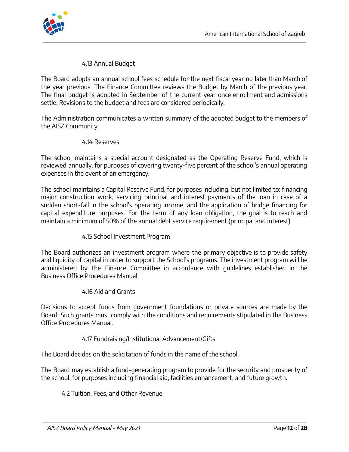

#### 4.13 Annual Budget

The Board adopts an annual school fees schedule for the next fiscal year no later than March of the year previous. The Finance Committee reviews the Budget by March of the previous year. The final budget is adopted in September of the current year once enrollment and admissions settle. Revisions to the budget and fees are considered periodically.

The Administration communicates a written summary of the adopted budget to the members of the AISZ Community.

#### 4.14 Reserves

The school maintains a special account designated as the Operating Reserve Fund, which is reviewed annually, for purposes of covering twenty-five percent of the school's annual operating expenses in the event of an emergency.

The school maintains a Capital Reserve Fund, for purposes including, but not limited to: financing major construction work, servicing principal and interest payments of the loan in case of a sudden short-fall in the school's operating income, and the application of bridge financing for capital expenditure purposes. For the term of any loan obligation, the goal is to reach and maintain a minimum of 50% of the annual debt service requirement (principal and interest).

#### 4.15 School Investment Program

The Board authorizes an investment program where the primary objective is to provide safety and liquidity of capital in order to support the School's programs. The investment program will be administered by the Finance Committee in accordance with guidelines established in the Business Office Procedures Manual.

#### 4.16 Aid and Grants

Decisions to accept funds from government foundations or private sources are made by the Board. Such grants must comply with the conditions and requirements stipulated in the Business Office Procedures Manual.

#### 4.17 Fundraising/Institutional Advancement/Gifts

The Board decides on the solicitation of funds in the name of the school.

The Board may establish a fund-generating program to provide for the security and prosperity of the school, for purposes including financial aid, facilities enhancement, and future growth.

# 4.2 Tuition, Fees, and Other Revenue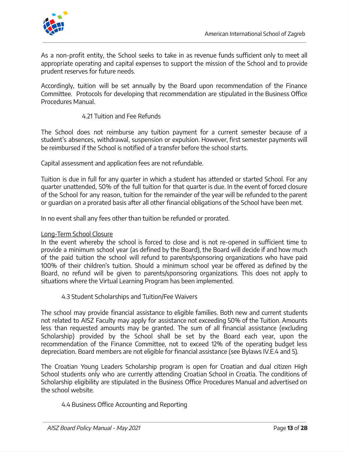

As a non-profit entity, the School seeks to take in as revenue funds sufficient only to meet all appropriate operating and capital expenses to support the mission of the School and to provide prudent reserves for future needs.

Accordingly, tuition will be set annually by the Board upon recommendation of the Finance Committee. Protocols for developing that recommendation are stipulated in the Business Office Procedures Manual.

# 4.21 Tuition and Fee Refunds

The School does not reimburse any tuition payment for a current semester because of a student's absences, withdrawal, suspension or expulsion. However, first semester payments will be reimbursed if the School is notified of a transfer before the school starts.

Capital assessment and application fees are not refundable.

Tuition is due in full for any quarter in which a student has attended or started School. For any quarter unattended, 50% of the full tuition for that quarter is due. In the event of forced closure of the School for any reason, tuition for the remainder of the year will be refunded to the parent or guardian on a prorated basis after all other financial obligations of the School have been met.

In no event shall any fees other than tuition be refunded or prorated.

#### Long-Term School Closure

In the event whereby the school is forced to close and is not re-opened in sufficient time to provide a minimum school year (as defined by the Board), the Board will decide if and how much of the paid tuition the school will refund to parents/sponsoring organizations who have paid 100% of their children's tuition. Should a minimum school year be offered as defined by the Board, no refund will be given to parents/sponsoring organizations. This does not apply to situations where the Virtual Learning Program has been implemented.

#### 4.3 Student Scholarships and Tuition/Fee Waivers

The school may provide financial assistance to eligible families. Both new and current students not related to AISZ Faculty may apply for assistance not exceeding 50% of the Tuition. Amounts less than requested amounts may be granted. The sum of all financial assistance (excluding Scholarship) provided by the School shall be set by the Board each year, upon the recommendation of the Finance Committee, not to exceed 12% of the operating budget less depreciation. Board members are not eligible for financial assistance (see Bylaws IV.E.4 and 5).

The Croatian Young Leaders Scholarship program is open for Croatian and dual citizen High School students only who are currently attending Croatian School in Croatia. The conditions of Scholarship eligibility are stipulated in the Business Office Procedures Manual and advertised on the school website.

#### 4.4 Business Office Accounting and Reporting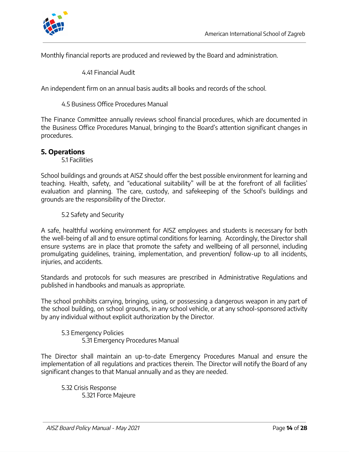

Monthly financial reports are produced and reviewed by the Board and administration.

4.41 Financial Audit

An independent firm on an annual basis audits all books and records of the school.

4.5 Business Office Procedures Manual

The Finance Committee annually reviews school financial procedures, which are documented in the Business Office Procedures Manual, bringing to the Board's attention significant changes in procedures.

# **5. Operations**

5.1 Facilities

School buildings and grounds at AISZ should offer the best possible environment for learning and teaching. Health, safety, and "educational suitability " will be at the forefront of all facilities' evaluation and planning. The care, custody, and safekeeping of the School's buildings and grounds are the responsibility of the Director.

5.2 Safety and Security

A safe, healthful working environment for AISZ employees and students is necessary for both the well-being of all and to ensure optimal conditions for learning. Accordingly, the Director shall ensure systems are in place that promote the safety and wellbeing of all personnel, including promulgating guidelines, training, implementation, and prevention/ follow-up to all incidents, injuries, and accidents.

Standards and protocols for such measures are prescribed in Administrative Regulations and published in handbooks and manuals as appropriate.

The school prohibits carrying, bringing, using, or possessing a dangerous weapon in any part of the school building, on school grounds, in any school vehicle, or at any school-sponsored activity by any individual without explicit authorization by the Director.

5.3 Emergency Policies 5.31 Emergency Procedures Manual

The Director shall maintain an up-to-date Emergency Procedures Manual and ensure the implementation of all regulations and practices therein. The Director will notify the Board of any significant changes to that Manual annually and as they are needed.

5.32 Crisis Response 5.321 Force Majeure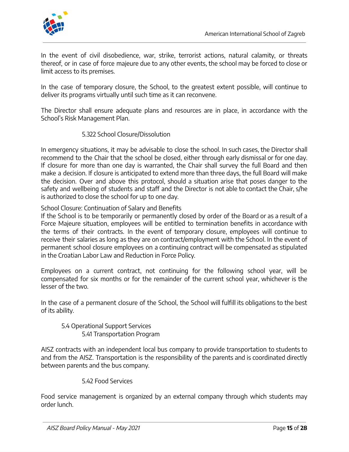

In the event of civil disobedience, war, strike, terrorist actions, natural calamity, or threats thereof, or in case of force majeure due to any other events, the school may be forced to close or limit access to its premises.

In the case of temporary closure, the School, to the greatest extent possible, will continue to deliver its programs virtually until such time as it can reconvene.

The Director shall ensure adequate plans and resources are in place, in accordance with the School's Risk Management Plan.

#### 5.322 School Closure/Dissolution

In emergency situations, it may be advisable to close the school. In such cases, the Director shall recommend to the Chair that the school be closed, either through early dismissal or for one day. If closure for more than one day is warranted, the Chair shall survey the full Board and then make a decision. If closure is anticipated to extend more than three days, the full Board will make the decision. Over and above this protocol, should a situation arise that poses danger to the safety and wellbeing of students and staff and the Director is not able to contact the Chair, s/he is authorized to close the school for up to one day.

School Closure: Continuation of Salary and Benefits

If the School is to be temporarily or permanently closed by order of the Board or as a result of a Force Majeure situation, employees will be entitled to termination benefits in accordance with the terms of their contracts. In the event of temporary closure, employees will continue to receive their salaries as long as they are on contract/employment with the School. In the event of permanent school closure employees on a continuing contract will be compensated as stipulated in the Croatian Labor Law and Reduction in Force Policy.

Employees on a current contract, not continuing for the following school year, will be compensated for six months or for the remainder of the current school year, whichever is the lesser of the two.

In the case of a permanent closure of the School, the School will fulfill its obligations to the best of its ability.

5.4 Operational Support Services 5.41 Transportation Program

AISZ contracts with an independent local bus company to provide transportation to students to and from the AISZ. Transportation is the responsibility of the parents and is coordinated directly between parents and the bus company.

#### 5.42 Food Services

Food service management is organized by an external company through which students may order lunch.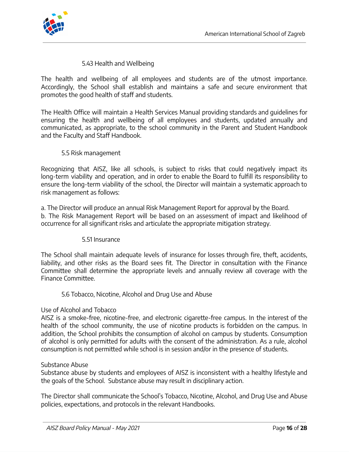

#### 5.43 Health and Wellbeing

The health and wellbeing of all employees and students are of the utmost importance. Accordingly, the School shall establish and maintains a safe and secure environment that promotes the good health of staff and students.

The Health Office will maintain a Health Services Manual providing standards and guidelines for ensuring the health and wellbeing of all employees and students, updated annually and communicated, as appropriate, to the school community in the Parent and Student Handbook and the Faculty and Staff Handbook.

#### 5.5 Risk management

Recognizing that AISZ, like all schools, is subject to risks that could negatively impact its long-term viability and operation, and in order to enable the Board to fulfill its responsibility to ensure the long-term viability of the school, the Director will maintain a systematic approach to risk management as follows:

a. The Director will produce an annual Risk Management Report for approval by the Board. b. The Risk Management Report will be based on an assessment of impact and likelihood of occurrence for all significant risks and articulate the appropriate mitigation strategy.

#### 5.51 Insurance

The School shall maintain adequate levels of insurance for losses through fire, theft, accidents, liability, and other risks as the Board sees fit. The Director in consultation with the Finance Committee shall determine the appropriate levels and annually review all coverage with the Finance Committee.

#### 5.6 Tobacco, Nicotine, Alcohol and Drug Use and Abuse

#### Use of Alcohol and Tobacco

AISZ is a smoke-free, nicotine-free, and electronic cigarette-free campus. In the interest of the health of the school community, the use of nicotine products is forbidden on the campus. In addition, the School prohibits the consumption of alcohol on campus by students. Consumption of alcohol is only permitted for adults with the consent of the administration. As a rule, alcohol consumption is not permitted while school is in session and/or in the presence of students.

#### Substance Abuse

Substance abuse by students and employees of AISZ is inconsistent with a healthy lifestyle and the goals of the School. Substance abuse may result in disciplinary action.

The Director shall communicate the School's Tobacco, Nicotine, Alcohol, and Drug Use and Abuse policies, expectations, and protocols in the relevant Handbooks.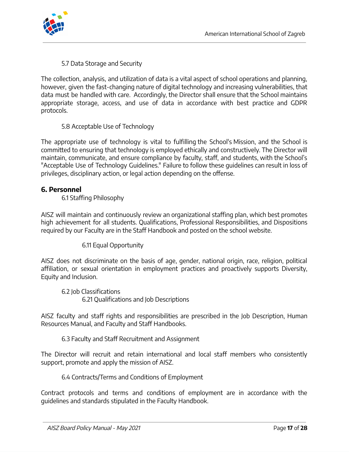

5.7 Data Storage and Security

The collection, analysis, and utilization of data is a vital aspect of school operations and planning, however, given the fast-changing nature of digital technology and increasing vulnerabilities, that data must be handled with care. Accordingly, the Director shall ensure that the School maintains appropriate storage, access, and use of data in accordance with best practice and GDPR protocols.

5.8 Acceptable Use of Technology

The appropriate use of technology is vital to fulfilling the School's Mission, and the School is committed to ensuring that technology is employed ethically and constructively. The Director will maintain, communicate, and ensure compliance by faculty, staff, and students, with the School's "Acceptable Use of Technology Guidelines." Failure to follow these guidelines can result in loss of privileges, disciplinary action, or legal action depending on the offense.

#### **6. Personnel**

6.1 Staffing Philosophy

AISZ will maintain and continuously review an organizational staffing plan, which best promotes high achievement for all students. Qualifications, Professional Responsibilities, and Dispositions required by our Faculty are in the Staff Handbook and posted on the school website.

6.11 Equal Opportunity

AISZ does not discriminate on the basis of age, gender, national origin, race, religion, political affiliation, or sexual orientation in employment practices and proactively supports Diversity, Equity and Inclusion.

6.2 Job Classifications 6.21 Qualifications and Job Descriptions

AISZ faculty and staff rights and responsibilities are prescribed in the Job Description, Human Resources Manual, and Faculty and Staff Handbooks.

6.3 Faculty and Staff Recruitment and Assignment

The Director will recruit and retain international and local staff members who consistently support, promote and apply the mission of AISZ.

#### 6.4 Contracts/Terms and Conditions of Employment

Contract protocols and terms and conditions of employment are in accordance with the guidelines and standards stipulated in the Faculty Handbook.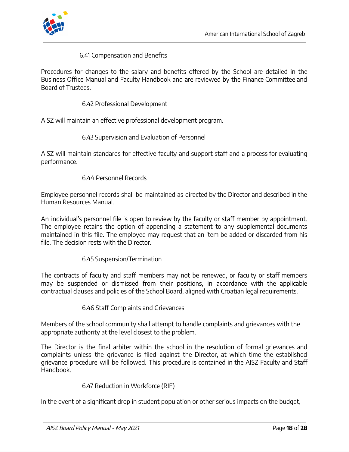

#### 6.41 Compensation and Benefits

Procedures for changes to the salary and benefits offered by the School are detailed in the Business Office Manual and Faculty Handbook and are reviewed by the Finance Committee and Board of Trustees.

6.42 Professional Development

AISZ will maintain an effective professional development program.

#### 6.43 Supervision and Evaluation of Personnel

AISZ will maintain standards for effective faculty and support staff and a process for evaluating performance.

#### 6.44 Personnel Records

Employee personnel records shall be maintained as directed by the Director and described in the Human Resources Manual.

An individual's personnel file is open to review by the faculty or staff member by appointment. The employee retains the option of appending a statement to any supplemental documents maintained in this file. The employee may request that an item be added or discarded from his file. The decision rests with the Director.

#### 6.45 Suspension/Termination

The contracts of faculty and staff members may not be renewed, or faculty or staff members may be suspended or dismissed from their positions, in accordance with the applicable contractual clauses and policies of the School Board, aligned with Croatian legal requirements.

#### 6.46 Staff Complaints and Grievances

Members of the school community shall attempt to handle complaints and grievances with the appropriate authority at the level closest to the problem.

The Director is the final arbiter within the school in the resolution of formal grievances and complaints unless the grievance is filed against the Director, at which time the established grievance procedure will be followed. This procedure is contained in the AISZ Faculty and Staff Handbook.

#### 6.47 Reduction in Workforce (RIF)

In the event of a significant drop in student population or other serious impacts on the budget,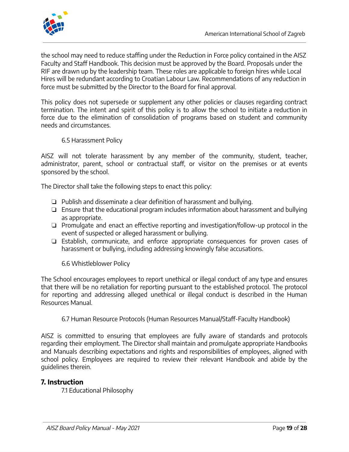

the school may need to reduce staffing under the Reduction in Force policy contained in the AISZ Faculty and Staff Handbook. This decision must be approved by the Board. Proposals under the RIF are drawn up by the leadership team. These roles are applicable to foreign hires while Local Hires will be redundant according to Croatian Labour Law. Recommendations of any reduction in force must be submitted by the Director to the Board for final approval.

This policy does not supersede or supplement any other policies or clauses regarding contract termination. The intent and spirit of this policy is to allow the school to initiate a reduction in force due to the elimination of consolidation of programs based on student and community needs and circumstances.

6.5 Harassment Policy

AISZ will not tolerate harassment by any member of the community, student, teacher, administrator, parent, school or contractual staff, or visitor on the premises or at events sponsored by the school.

The Director shall take the following steps to enact this policy:

- ❏ Publish and disseminate a clear definition of harassment and bullying.
- ❏ Ensure that the educational program includes information about harassment and bullying as appropriate.
- ❏ Promulgate and enact an effective reporting and investigation/follow-up protocol in the event of suspected or alleged harassment or bullying.
- ❏ Establish, communicate, and enforce appropriate consequences for proven cases of harassment or bullying, including addressing knowingly false accusations.

6.6 Whistleblower Policy

The School encourages employees to report unethical or illegal conduct of any type and ensures that there will be no retaliation for reporting pursuant to the established protocol. The protocol for reporting and addressing alleged unethical or illegal conduct is described in the Human Resources Manual.

6.7 Human Resource Protocols (Human Resources Manual/Staff-Faculty Handbook)

AISZ is committed to ensuring that employees are fully aware of standards and protocols regarding their employment. The Director shall maintain and promulgate appropriate Handbooks and Manuals describing expectations and rights and responsibilities of employees, aligned with school policy. Employees are required to review their relevant Handbook and abide by the guidelines therein.

# **7. Instruction**

7.1 Educational Philosophy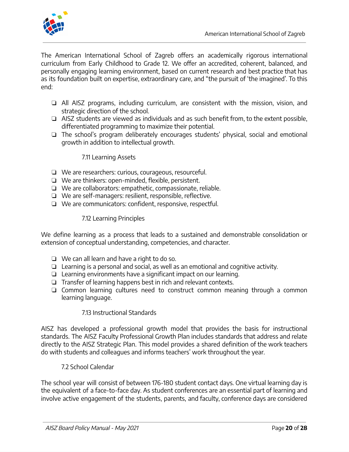

The American International School of Zagreb offers an academically rigorous international curriculum from Early Childhood to Grade 12. We offer an accredited, coherent, balanced, and personally engaging learning environment, based on current research and best practice that has as its foundation built on expertise, extraordinary care, and "the pursuit of 'the imagined' . To this end:

- ❏ All AISZ programs, including curriculum, are consistent with the mission, vision, and strategic direction of the school.
- ❏ AISZ students are viewed as individuals and as such benefit from, to the extent possible, differentiated programming to maximize their potential.
- ❏ The school's program deliberately encourages students' physical, social and emotional growth in addition to intellectual growth.

# 7.11 Learning Assets

- ❏ We are researchers: curious, courageous, resourceful.
- ❏ We are thinkers: open-minded, flexible, persistent.
- ❏ We are collaborators: empathetic, compassionate, reliable.
- ❏ We are self-managers: resilient, responsible, reflective.
- ❏ We are communicators: confident, responsive, respectful.

# 7.12 Learning Principles

We define learning as a process that leads to a sustained and demonstrable consolidation or extension of conceptual understanding, competencies, and character.

- ❏ We can all learn and have a right to do so.
- ❏ Learning is a personal and social, as well as an emotional and cognitive activity.
- ❏ Learning environments have a significant impact on our learning.
- ❏ Transfer of learning happens best in rich and relevant contexts.
- ❏ Common learning cultures need to construct common meaning through a common learning language.

# 7.13 Instructional Standards

AISZ has developed a professional growth model that provides the basis for instructional standards. The AISZ Faculty Professional Growth Plan includes standards that address and relate directly to the AISZ Strategic Plan. This model provides a shared definition of the work teachers do with students and colleagues and informs teachers' work throughout the year.

7.2 School Calendar

The school year will consist of between 176-180 student contact days. One virtual learning day is the equivalent of a face-to-face day. As student conferences are an essential part of learning and involve active engagement of the students, parents, and faculty, conference days are considered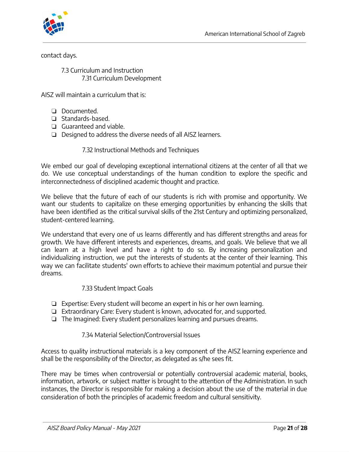

contact days.

7.3 Curriculum and Instruction 7.31 Curriculum Development

AISZ will maintain a curriculum that is:

- ❏ Documented.
- ❏ Standards-based.
- ❏ Guaranteed and viable.
- ❏ Designed to address the diverse needs of all AISZ learners.

#### 7.32 Instructional Methods and Techniques

We embed our goal of developing exceptional international citizens at the center of all that we do. We use conceptual understandings of the human condition to explore the specific and interconnectedness of disciplined academic thought and practice.

We believe that the future of each of our students is rich with promise and opportunity. We want our students to capitalize on these emerging opportunities by enhancing the skills that have been identified as the critical survival skills of the 21st Century and optimizing personalized, student-centered learning.

We understand that every one of us learns differently and has different strengths and areas for growth. We have different interests and experiences, dreams, and goals. We believe that we all can learn at a high level and have a right to do so. By increasing personalization and individualizing instruction, we put the interests of students at the center of their learning. This way we can facilitate students' own efforts to achieve their maximum potential and pursue their dreams.

#### 7.33 Student Impact Goals

- ❏ Expertise: Every student will become an expert in his or her own learning.
- ❏ Extraordinary Care: Every student is known, advocated for, and supported.
- ❏ The Imagined: Every student personalizes learning and pursues dreams.

#### 7.34 Material Selection/Controversial Issues

Access to quality instructional materials is a key component of the AISZ learning experience and shall be the responsibility of the Director, as delegated as s/he sees fit.

There may be times when controversial or potentially controversial academic material, books, information, artwork, or subject matter is brought to the attention of the Administration. In such instances, the Director is responsible for making a decision about the use of the material in due consideration of both the principles of academic freedom and cultural sensitivity.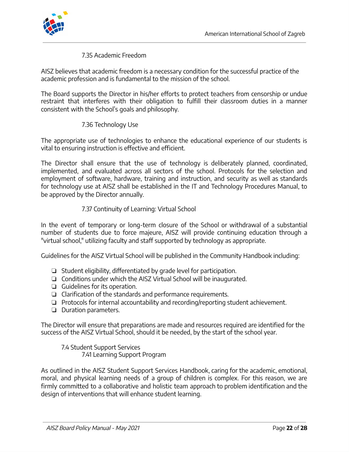

#### 7.35 Academic Freedom

AISZ believes that academic freedom is a necessary condition for the successful practice of the academic profession and is fundamental to the mission of the school.

The Board supports the Director in his/her efforts to protect teachers from censorship or undue restraint that interferes with their obligation to fulfill their classroom duties in a manner consistent with the School's goals and philosophy.

#### 7.36 Technology Use

The appropriate use of technologies to enhance the educational experience of our students is vital to ensuring instruction is effective and efficient.

The Director shall ensure that the use of technology is deliberately planned, coordinated, implemented, and evaluated across all sectors of the school. Protocols for the selection and employment of software, hardware, training and instruction, and security as well as standards for technology use at AISZ shall be established in the IT and Technology Procedures Manual, to be approved by the Director annually.

#### 7.37 Continuity of Learning: Virtual School

In the event of temporary or long-term closure of the School or withdrawal of a substantial number of students due to force majeure, AISZ will provide continuing education through a "virtual school, " utilizing faculty and staff supported by technology as appropriate.

Guidelines for the AISZ Virtual School will be published in the Community Handbook including:

- ❏ Student eligibility, differentiated by grade level for participation.
- ❏ Conditions under which the AISZ Virtual School will be inaugurated.
- ❏ Guidelines for its operation.
- ❏ Clarification of the standards and performance requirements.
- ❏ Protocols for internal accountability and recording/reporting student achievement.
- ❏ Duration parameters.

The Director will ensure that preparations are made and resources required are identified for the success of the AISZ Virtual School, should it be needed, by the start of the school year.

7.4 Student Support Services 7.41 Learning Support Program

As outlined in the AISZ Student Support Services Handbook, caring for the academic, emotional, moral, and physical learning needs of a group of children is complex. For this reason, we are firmly committed to a collaborative and holistic team approach to problem identification and the design of interventions that will enhance student learning.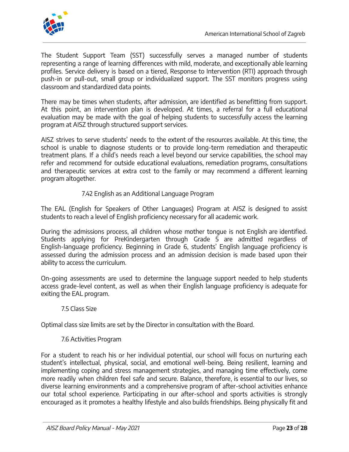

The Student Support Team (SST) successfully serves a managed number of students representing a range of learning differences with mild, moderate, and exceptionally able learning profiles. Service delivery is based on a tiered, Response to Intervention (RTI) approach through push-in or pull-out, small group or individualized support. The SST monitors progress using classroom and standardized data points.

There may be times when students, after admission, are identified as benefitting from support. At this point, an intervention plan is developed. At times, a referral for a full educational evaluation may be made with the goal of helping students to successfully access the learning program at AISZ through structured support services.

AISZ strives to serve students' needs to the extent of the resources available. At this time, the school is unable to diagnose students or to provide long-term remediation and therapeutic treatment plans. If a child's needs reach a level beyond our service capabilities, the school may refer and recommend for outside educational evaluations, remediation programs, consultations and therapeutic services at extra cost to the family or may recommend a different learning program altogether.

# 7.42 English as an Additional Language Program

The EAL (English for Speakers of Other Languages) Program at AISZ is designed to assist students to reach a level of English proficiency necessary for all academic work.

During the admissions process, all children whose mother tongue is not English are identified. Students applying for PreKindergarten through Grade 5 are admitted regardless of English-language proficiency. Beginning in Grade 6, students' English language proficiency is assessed during the admission process and an admission decision is made based upon their ability to access the curriculum.

On-going assessments are used to determine the language support needed to help students access grade-level content, as well as when their English language proficiency is adequate for exiting the EAL program.

#### 7.5 Class Size

Optimal class size limits are set by the Director in consultation with the Board.

#### 7.6 Activities Program

For a student to reach his or her individual potential, our school will focus on nurturing each student's intellectual, physical, social, and emotional well-being. Being resilient, learning and implementing coping and stress management strategies, and managing time effectively, come more readily when children feel safe and secure. Balance, therefore, is essential to our lives, so diverse learning environments and a comprehensive program of after-school activities enhance our total school experience. Participating in our after-school and sports activities is strongly encouraged as it promotes a healthy lifestyle and also builds friendships. Being physically fit and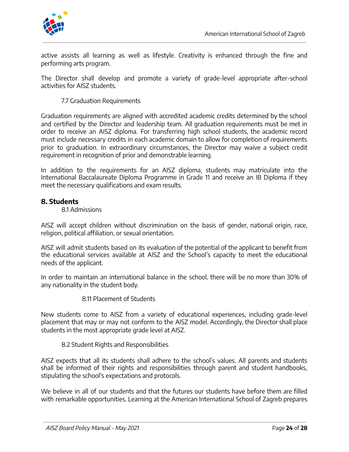

active assists all learning as well as lifestyle. Creativity is enhanced through the fine and performing arts program.

The Director shall develop and promote a variety of grade-level appropriate after-school activities for AISZ students.

7.7 Graduation Requirements

Graduation requirements are aligned with accredited academic credits determined by the school and certified by the Director and leadership team. All graduation requirements must be met in order to receive an AISZ diploma. For transferring high school students, the academic record must include necessary credits in each academic domain to allow for completion of requirements prior to graduation. In extraordinary circumstances, the Director may waive a subject credit requirement in recognition of prior and demonstrable learning.

In addition to the requirements for an AISZ diploma, students may matriculate into the International Baccalaureate Diploma Programme in Grade 11 and receive an IB Diploma if they meet the necessary qualifications and exam results.

# **8. Students**

#### 8.1 Admissions

AISZ will accept children without discrimination on the basis of gender, national origin, race, religion, political affiliation, or sexual orientation.

AISZ will admit students based on its evaluation of the potential of the applicant to benefit from the educational services available at AISZ and the School's capacity to meet the educational needs of the applicant.

In order to maintain an international balance in the school, there will be no more than 30% of any nationality in the student body.

8.11 Placement of Students

New students come to AISZ from a variety of educational experiences, including grade-level placement that may or may not conform to the AISZ model. Accordingly, the Director shall place students in the most appropriate grade level at AISZ.

8.2 Student Rights and Responsibilities

AISZ expects that all its students shall adhere to the school's values. All parents and students shall be informed of their rights and responsibilities through parent and student handbooks, stipulating the school's expectations and protocols.

We believe in all of our students and that the futures our students have before them are filled with remarkable opportunities. Learning at the American International School of Zagreb prepares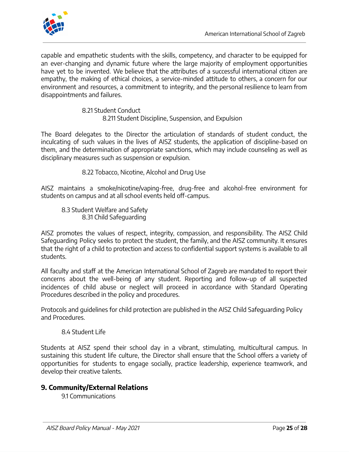

capable and empathetic students with the skills, competency, and character to be equipped for an ever-changing and dynamic future where the large majority of employment opportunities have yet to be invented. We believe that the attributes of a successful international citizen are empathy, the making of ethical choices, a service-minded attitude to others, a concern for our environment and resources, a commitment to integrity, and the personal resilience to learn from disappointments and failures.

> 8.21 Student Conduct 8.211 Student Discipline, Suspension, and Expulsion

The Board delegates to the Director the articulation of standards of student conduct, the inculcating of such values in the lives of AISZ students, the application of discipline-based on them, and the determination of appropriate sanctions, which may include counseling as well as disciplinary measures such as suspension or expulsion.

8.22 Tobacco, Nicotine, Alcohol and Drug Use

AISZ maintains a smoke/nicotine/vaping-free, drug-free and alcohol-free environment for students on campus and at all school events held off-campus.

8.3 Student Welfare and Safety 8.31 Child Safeguarding

AISZ promotes the values of respect, integrity, compassion, and responsibility. The AISZ Child Safeguarding Policy seeks to protect the student, the family, and the AISZ community. It ensures that the right of a child to protection and access to confidential support systems is available to all students.

All faculty and staff at the American International School of Zagreb are mandated to report their concerns about the well-being of any student. Reporting and follow-up of all suspected incidences of child abuse or neglect will proceed in accordance with Standard Operating Procedures described in the policy and procedures.

Protocols and guidelines for child protection are published in the AISZ Child Safeguarding Policy and Procedures.

# 8.4 Student Life

Students at AISZ spend their school day in a vibrant, stimulating, multicultural campus. In sustaining this student life culture, the Director shall ensure that the School offers a variety of opportunities for students to engage socially, practice leadership, experience teamwork, and develop their creative talents.

# **9. Community/External Relations**

9.1 Communications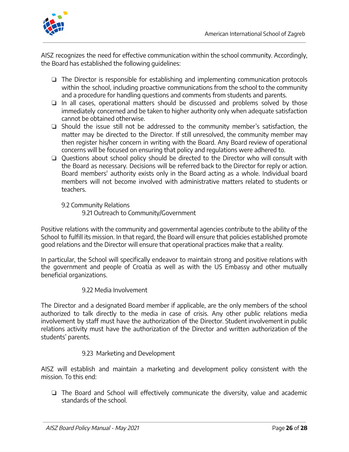

AISZ recognizes the need for effective communication within the school community. Accordingly, the Board has established the following guidelines:

- ❏ The Director is responsible for establishing and implementing communication protocols within the school, including proactive communications from the school to the community and a procedure for handling questions and comments from students and parents.
- ❏ In all cases, operational matters should be discussed and problems solved by those immediately concerned and be taken to higher authority only when adequate satisfaction cannot be obtained otherwise.
- ❏ Should the issue still not be addressed to the community member's satisfaction, the matter may be directed to the Director. If still unresolved, the community member may then register his/her concern in writing with the Board. Any Board review of operational concerns will be focused on ensuring that policy and regulations were adhered to.
- ❏ Questions about school policy should be directed to the Director who will consult with the Board as necessary. Decisions will be referred back to the Director for reply or action. Board members' authority exists only in the Board acting as a whole. Individual board members will not become involved with administrative matters related to students or teachers.
	- 9.2 Community Relations
		- 9.21 Outreach to Community/Government

Positive relations with the community and governmental agencies contribute to the ability of the School to fulfill its mission. In that regard, the Board will ensure that policies established promote good relations and the Director will ensure that operational practices make that a reality.

In particular, the School will specifically endeavor to maintain strong and positive relations with the government and people of Croatia as well as with the US Embassy and other mutually beneficial organizations.

# 9.22 Media Involvement

The Director and a designated Board member if applicable, are the only members of the school authorized to talk directly to the media in case of crisis. Any other public relations media involvement by staff must have the authorization of the Director. Student involvement in public relations activity must have the authorization of the Director and written authorization of the students' parents.

# 9.23 Marketing and Development

AISZ will establish and maintain a marketing and development policy consistent with the mission. To this end:

❏ The Board and School will effectively communicate the diversity, value and academic standards of the school.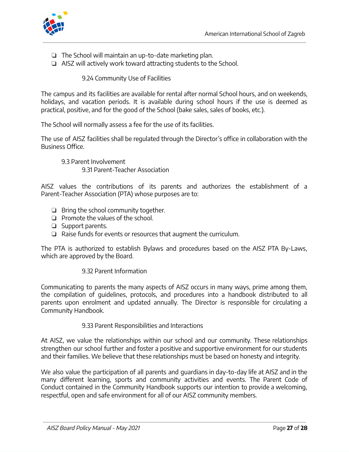



- ❏ The School will maintain an up-to-date marketing plan.
- ❏ AISZ will actively work toward attracting students to the School.

9.24 Community Use of Facilities

The campus and its facilities are available for rental after normal School hours, and on weekends, holidays, and vacation periods. It is available during school hours if the use is deemed as practical, positive, and for the good of the School (bake sales, sales of books, etc.).

The School will normally assess a fee for the use of its facilities.

The use of AISZ facilities shall be regulated through the Director's office in collaboration with the Business Office.

9.3 Parent Involvement

9.31 Parent-Teacher Association

AISZ values the contributions of its parents and authorizes the establishment of a Parent-Teacher Association (PTA) whose purposes are to:

- ❏ Bring the school community together.
- ❏ Promote the values of the school.
- ❏ Support parents.
- ❏ Raise funds for events or resources that augment the curriculum.

The PTA is authorized to establish Bylaws and procedures based on the AISZ PTA By-Laws, which are approved by the Board.

#### 9.32 Parent Information

Communicating to parents the many aspects of AISZ occurs in many ways, prime among them, the compilation of guidelines, protocols, and procedures into a handbook distributed to all parents upon enrolment and updated annually. The Director is responsible for circulating a Community Handbook.

#### 9.33 Parent Responsibilities and Interactions

At AISZ, we value the relationships within our school and our community. These relationships strengthen our school further and foster a positive and supportive environment for our students and their families. We believe that these relationships must be based on honesty and integrity.

We also value the participation of all parents and guardians in day-to-day life at AISZ and in the many different learning, sports and community activities and events. The Parent Code of Conduct contained in the Community Handbook supports our intention to provide a welcoming, respectful, open and safe environment for all of our AISZ community members.